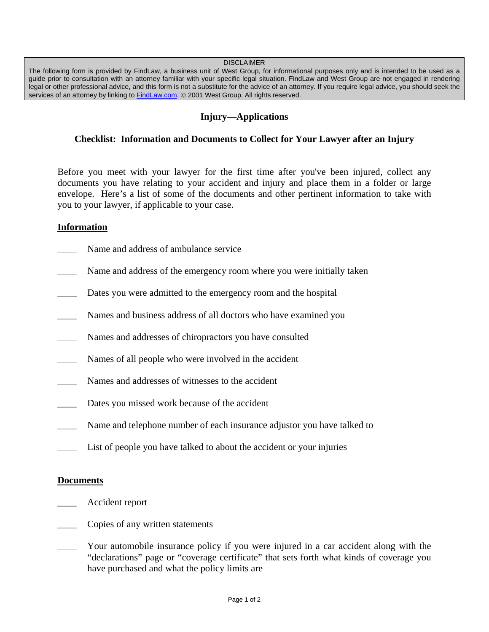#### **DISCLAIMER**

The following form is provided by FindLaw, a business unit of West Group, for informational purposes only and is intended to be used as a guide prior to consultation with an attorney familiar with your specific legal situation. FindLaw and West Group are not engaged in rendering legal or other professional advice, and this form is not a substitute for the advice of an attorney. If you require legal advice, you should seek the services of an attorney by linking to FindLaw.com. © 2001 West Group. All rights reserved.

# **Injury—Applications**

## **Checklist: Information and Documents to Collect for Your Lawyer after an Injury**

Before you meet with your lawyer for the first time after you've been injured, collect any documents you have relating to your accident and injury and place them in a folder or large envelope. Here's a list of some of the documents and other pertinent information to take with you to your lawyer, if applicable to your case.

### **Information**

- Name and address of ambulance service
- Name and address of the emergency room where you were initially taken
- Dates you were admitted to the emergency room and the hospital
- Names and business address of all doctors who have examined you
- Names and addresses of chiropractors you have consulted
- Names of all people who were involved in the accident
- Names and addresses of witnesses to the accident
- Dates you missed work because of the accident
- Name and telephone number of each insurance adjustor you have talked to
- List of people you have talked to about the accident or your injuries

### **Documents**

- \_\_\_\_ Accident report
- \_\_\_\_ Copies of any written statements
- Your automobile insurance policy if you were injured in a car accident along with the "declarations" page or "coverage certificate" that sets forth what kinds of coverage you have purchased and what the policy limits are